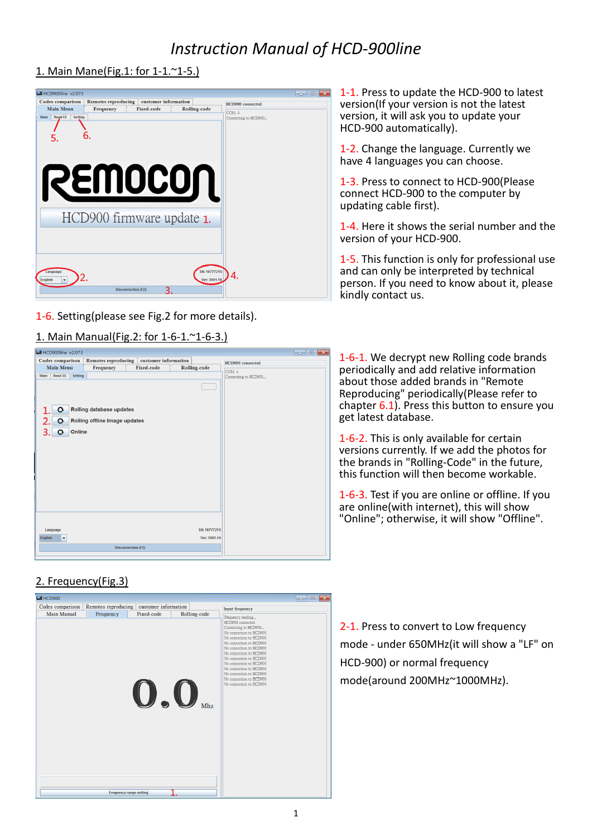# *Instruction Manual of HCD-900line*

### 1. Main Mane(Fig.1: for 1-1.~1-5.)



1-6. Setting(please see Fig.2 for more details).

## 1. Main Manual(Fig.2: for 1-6-1.~1-6-3.)

| El HCD900line v2.073                              |                                                           |                           |                     |                      | $\mathbf{R}$<br>$ -$ |
|---------------------------------------------------|-----------------------------------------------------------|---------------------------|---------------------|----------------------|----------------------|
| Codes comparison                                  | <b>Remotes reproducing</b>                                | customer information      |                     | HCD900 connected     |                      |
| <b>Main Menu</b>                                  | Frequency                                                 | <b>Fixed-code</b>         | <b>Rolling-code</b> | COM: 4               |                      |
| <b>Read EE</b><br>Setting<br>Main                 |                                                           |                           |                     | Connecting to HCD900 |                      |
| $\mathbf{o}$<br>$\mathbf{o}$<br>Online<br>Ō<br>3. | Rolling database updates<br>Rolling offline Image updates |                           |                     |                      |                      |
| Language                                          |                                                           |                           | SN: 16777215        |                      |                      |
| English<br>$\blacktriangledown$                   |                                                           |                           | Ver: 3001.16        |                      |                      |
|                                                   |                                                           | <b>Disconnection (F2)</b> |                     |                      |                      |

2. Frequency(Fig.3)



1-1. Press to update the HCD-900 to latest version(If your version is not the latest version, it will ask you to update your HCD-900 automatically).

1-2. Change the language. Currently we have 4 languages you can choose.

1-3. Press to connect to HCD-900(Please connect HCD-900 to the computer by updating cable first).

1-4. Here it shows the serial number and the version of your HCD-900.

1-5. This function is only for professional use and can only be interpreted by technical person. If you need to know about it, please kindly contact us.

1-6-1. We decrypt new Rolling code brands periodically and add relative information about those added brands in "Remote Reproducing" periodically(Please refer to chapter 6.1). Press this button to ensure you get latest database.

1-6-2. This is only available for certain versions currently. If we add the photos for the brands in "Rolling-Code" in the future, this function will then become workable.

1-6-3. Test if you are online or offline. If you are online(with internet), this will show "Online"; otherwise, it will show "Offline".

2-1. Press to convert to Low frequency mode - under 650MHz(it will show a "LF" on HCD-900) or normal frequency mode(around 200MHz~1000MHz).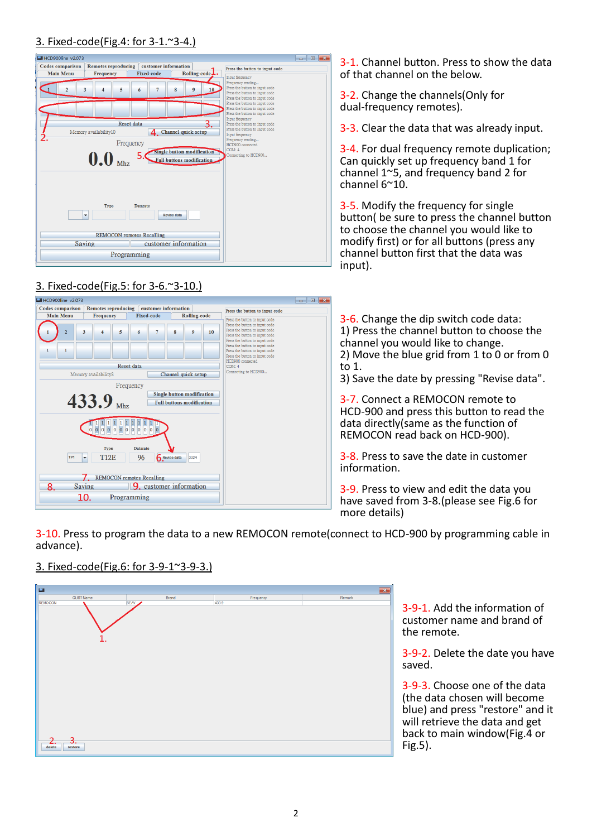#### 3. Fixed-code(Fig.4: for 3-1.~3-4.)



# 3. Fixed-code(Fig.5: for  $3-6.^{\sim}3-10.$ )



3-1. Channel button. Press to show the data of that channel on the below.

3-2. Change the channels(Only for dual-frequency remotes).

3-3. Clear the data that was already input.

3-4. For dual frequency remote duplication; Can quickly set up frequency band 1 for channel 1~5, and frequency band 2 for channel 6~10.

3-5. Modify the frequency for single button( be sure to press the channel button to choose the channel you would like to modify first) or for all buttons (press any channel button first that the data was input).

3-6. Change the dip switch code data: 1) Press the channel button to choose the channel you would like to change. 2) Move the blue grid from 1 to 0 or from 0 to 1.

3) Save the date by pressing "Revise data".

3-7. Connect a REMOCON remote to HCD-900 and press this button to read the data directly(same as the function of REMOCON read back on HCD-900).

3-8. Press to save the date in customer information.

3-9. Press to view and edit the data you have saved from 3-8.(please see Fig.6 for more details)

3-10. Press to program the data to a new REMOCON remote(connect to HCD-900 by programming cable in advance).

## 3. Fixed-code(Fig.6: for 3-9-1~3-9-3.)



3-9-1. Add the information of customer name and brand of the remote.

3-9-2. Delete the date you have saved.

3-9-3. Choose one of the data (the data chosen will become blue) and press "restore" and it will retrieve the data and get back to main window(Fig.4 or Fig.5).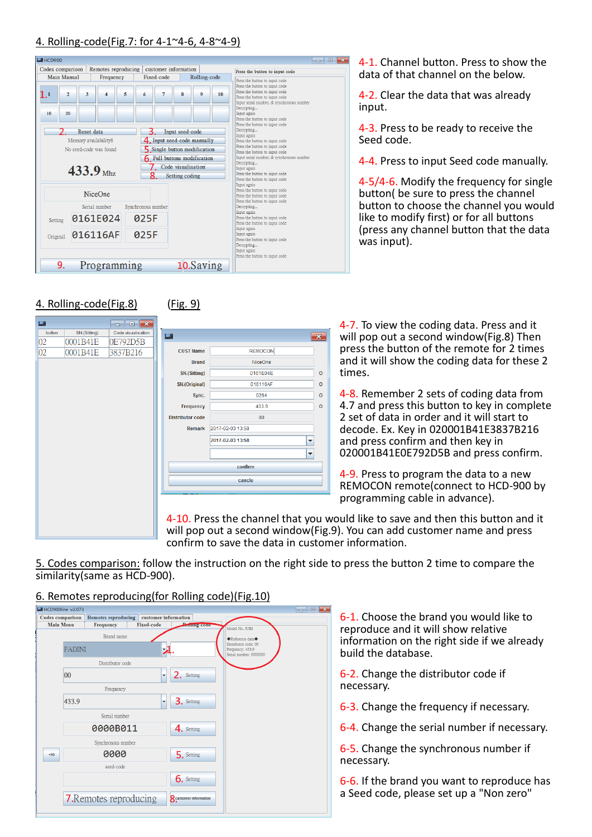## 4. Rolling-code(Fig.7: for 4-1~4-6, 4-8~4-9)



4. Rolling-code(Fig.8) (Fig. 9)

| $\Box$ |              | $\Box$ $\mathbf{x}$<br>$\Box$ |                         |                                             |                          | $4-7.$ To   |
|--------|--------------|-------------------------------|-------------------------|---------------------------------------------|--------------------------|-------------|
| button | SN.(Sitting) | Code visualisation            | $\bullet$               |                                             | $\mathbf{x}$             | will po     |
| 02     | 0001B41E     | 0E792D5B                      |                         |                                             |                          |             |
| 02     | 0001B41E     | 3837B216                      | <b>CUST Name</b>        | <b>REMOCON</b>                              |                          | press       |
|        |              |                               | <b>Brand</b>            | NiceOne                                     |                          | and it      |
|        |              |                               | SN.(Sitting)            | 0161E04E                                    | $\circ$                  | times.      |
|        |              |                               | SN.(Original)           | 016116AF                                    | $\Omega$                 |             |
|        |              |                               | Sync.                   | 0264                                        | $\Omega$                 | $4 - 8. R($ |
|        |              |                               | Frequency               | 433.9                                       | $\Omega$                 | 4.7 an      |
|        |              |                               | <b>Distributor code</b> | 00                                          |                          | 2 set o     |
|        |              |                               | <b>Remark</b>           | 2017-02-03 13:58                            |                          | decod       |
|        |              |                               |                         | 2017-02-03 13:58                            | $\overline{\phantom{a}}$ | and pr      |
|        |              |                               |                         |                                             | $\overline{\phantom{a}}$ | 02000       |
|        |              |                               |                         |                                             |                          |             |
|        |              |                               |                         | confirm                                     |                          | 4-9. PI     |
|        |              |                               |                         | cancle                                      |                          |             |
|        |              |                               |                         |                                             |                          | <b>REMO</b> |
|        |              |                               |                         |                                             |                          | progra      |
|        |              |                               |                         |                                             |                          |             |
|        |              |                               |                         | 4-10. Press the channel that you would like |                          |             |
|        |              |                               |                         | will pop out a second window(Fig.9). You on |                          |             |

4-1. Channel button. Press to show the data of that channel on the below.

4-2. Clear the data that was already input.

4-3. Press to be ready to receive the Seed code.

4-4. Press to input Seed code manually.

4-5/4-6. Modify the frequency for single button( be sure to press the channel button to choose the channel you would like to modify first) or for all buttons (press any channel button that the data was input).

o view the coding data. Press and it op out a second window(Fig.8) Then the button of the remote for 2 times will show the coding data for these 2

emember 2 sets of coding data from d press this button to key in complete of data in order and it will start to le. Ex. Key in 020001B41E3837B216 ress confirm and then key in 020001B41E0E792D5B and press confirm.

ress to program the data to a new CON remote(connect to HCD-900 by amming cable in advance).

e to save and then this button and it can add customer name and press. confirm to save the data in customer information.

5. Codes comparison: follow the instruction on the right side to press the button 2 time to compare the similarity(same as HCD-900).

### 6. Remotes reproducing(for Rolling code)(Fig.10)

| <b>Codes</b> comparison | <b>Remotes reproducing</b> | customer information              |                                                                                                                           |                                            |                      |
|-------------------------|----------------------------|-----------------------------------|---------------------------------------------------------------------------------------------------------------------------|--------------------------------------------|----------------------|
|                         |                            |                                   | <b>Proming-code</b>                                                                                                       | Model No. JUBI                             |                      |
|                         | Brand name                 |                                   |                                                                                                                           | ◆Reference data◆                           |                      |
|                         |                            |                                   |                                                                                                                           | Frequency: 433.9<br>Serial number: 0000000 |                      |
|                         |                            |                                   |                                                                                                                           |                                            |                      |
| 00                      |                            | ▼                                 | 2. Setting                                                                                                                |                                            |                      |
|                         | Frequency                  |                                   |                                                                                                                           |                                            |                      |
| 433.9                   |                            | $\overline{\phantom{a}}$          | 3. Setting                                                                                                                |                                            |                      |
|                         |                            |                                   |                                                                                                                           |                                            |                      |
|                         |                            |                                   | 4. Setting                                                                                                                |                                            |                      |
|                         |                            |                                   |                                                                                                                           |                                            |                      |
|                         | 0000                       |                                   | 5. Setting                                                                                                                |                                            |                      |
|                         | seed-code                  |                                   |                                                                                                                           |                                            |                      |
|                         |                            |                                   | 6. Setting                                                                                                                |                                            |                      |
|                         |                            |                                   | <b>8</b> customer information                                                                                             |                                            |                      |
|                         | <b>Main Menu</b>           | <b>Frequency</b><br><b>FADINI</b> | <b>Fixed-code</b><br>Distributor code<br>Serial number<br>0000B011<br>Synchronous number<br><b>7.</b> Remotes reproducing | 云                                          | Distributor code: 00 |

6-1. Choose the brand you would like to reproduce and it will show relative information on the right side if we already build the database.

6-2. Change the distributor code if necessary.

6-3. Change the frequency if necessary.

6-4. Change the serial number if necessary.

6-5. Change the synchronous number if necessary.

6-6. If the brand you want to reproduce has a Seed code, please set up a "Non zero"